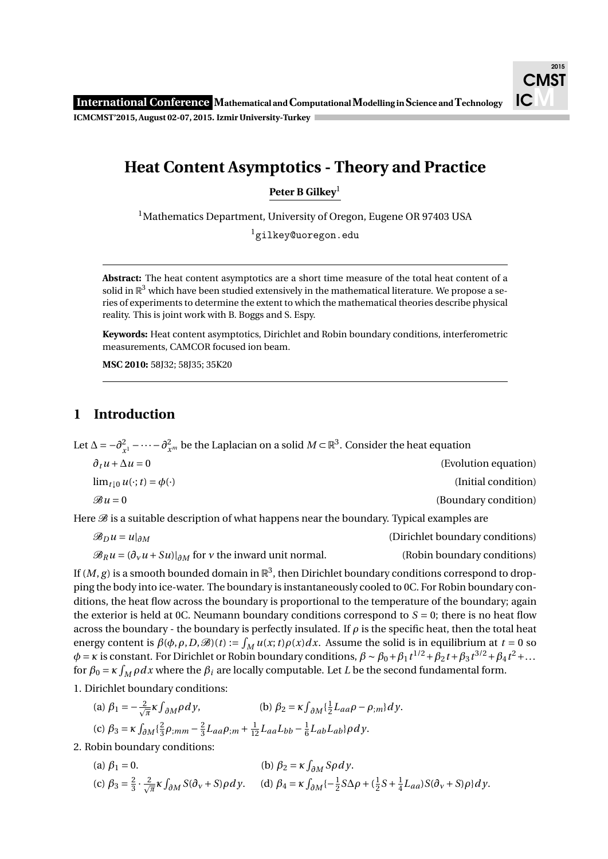# **Heat Content Asymptotics - Theory and Practice**

**Peter B Gilkey**<sup>1</sup>

<sup>1</sup>Mathematics Department, University of Oregon, Eugene OR 97403 USA

<sup>1</sup>gilkey@uoregon.edu

**Abstract:** The heat content asymptotics are a short time measure of the total heat content of a solid in  $\mathbb{R}^3$  which have been studied extensively in the mathematical literature. We propose a series of experiments to determine the extent to which the mathematical theories describe physical reality. This is joint work with B. Boggs and S. Espy.

**Keywords:** Heat content asymptotics, Dirichlet and Robin boundary conditions, interferometric measurements, CAMCOR focused ion beam.

**MSC 2010:** 58J32; 58J35; 35K20

## **1 Introduction**

Let  $\Delta = -\partial^2$  $\frac{2}{x^1}$  −··· −  $\partial^2_{x^m}$  be the Laplacian on a solid  $M \subset \mathbb{R}^3$ . Consider the heat equation  $\partial_t u + \Delta u = 0$  (Evolution equation)  $\lim_{t \to 0} u(\cdot; t) = \phi(\cdot)$  (Initial condition)  $\mathscr{B}u = 0$  (Boundary condition)

Here  $\mathscr B$  is a suitable description of what happens near the boundary. Typical examples are

 $\mathscr{B}_D u = u|_{\partial M}$  (Dirichlet boundary conditions)  $\mathscr{B}_R u = (\partial_\nu u + S u)|_{\partial M}$  for *v* the inward unit normal. (Robin boundary conditions)

If  $(M,g)$  is a smooth bounded domain in  $\mathbb{R}^3$ , then Dirichlet boundary conditions correspond to dropping the body into ice-water. The boundary is instantaneously cooled to 0C. For Robin boundary conditions, the heat flow across the boundary is proportional to the temperature of the boundary; again the exterior is held at 0C. Neumann boundary conditions correspond to *S* = 0; there is no heat flow across the boundary - the boundary is perfectly insulated. If  $\rho$  is the specific heat, then the total heat energy content is  $\beta(\phi, \rho, D, \mathcal{B})(t) := \int_M u(x; t) \rho(x) dx$ . Assume the solid is in equilibrium at  $t = 0$  so  $\phi = \kappa$  is constant. For Dirichlet or Robin boundary conditions,  $\beta \sim \beta_0 + \beta_1 t^{1/2} + \beta_2 t + \beta_3 t^{3/2} + \beta_4 t^2 + ...$ for  $\beta_0 = \kappa \int_M \rho \, dx$  where the  $\beta_i$  are locally computable. Let *L* be the second fundamental form.

1. Dirichlet boundary conditions:

(a)  $\beta_1 = -\frac{2}{\sqrt{\pi}} \kappa \int_{\partial M} \rho \, dy$ , (b)  $\beta_2 = \kappa \int_{\partial M} {\frac{1}{2}}$  $\frac{1}{2}L_{aa}\rho - \rho_{;m} d y.$ (c)  $\beta_3 = \kappa \int_{\partial M} {\frac{2}{3}}$  $\frac{2}{3}ρ; mm - \frac{2}{3}$  $\frac{2}{3}L_{aa}\rho_{;m} + \frac{1}{12}L_{aa}L_{bb} - \frac{1}{6}$  $\frac{1}{6}L_{ab}L_{ab}$ *}* $\rho dy$ .

2. Robin boundary conditions:

(a)  $\beta_1 = 0$ . (b)  $\beta_2 = \kappa \int_{\partial M} S \rho \, dy$ . (c)  $\beta_3 = \frac{2}{3}$  $\frac{2}{3} \cdot \frac{2}{\sqrt{\pi}} \kappa \int_{\partial M} S(\partial_v + S) \rho \, dy$ . (d)  $\beta_4 = \kappa \int_{\partial M} \{-\frac{1}{2} \kappa \int_{\partial M} S(\partial_v + S) \rho \, dy\}$ .  $\frac{1}{2}$ *S*Δ*ρ* + ( $\frac{1}{2}$  $\frac{1}{2}S + \frac{1}{4}$  $\frac{1}{4}L_{aa}S(\partial_v+S)\rho\}dy.$